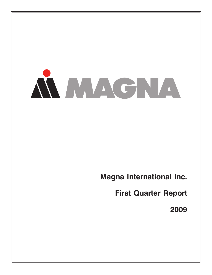

**Magna International Inc.**

**First Quarter Report**

**2009**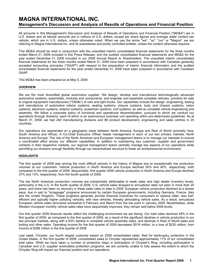# **MAGNA INTERNATIONAL INC. Management's Discussion and Analysis of Results of Operations and Financial Position**

All amounts in this Management's Discussion and Analysis of Results of Operations and Financial Position ("MD&A") are in U.S. dollars and all tabular amounts are in millions of U.S. dollars, except per share figures and average dollar content per vehicle, which are in U.S. dollars, unless otherwise noted. When we use the terms "we", "us", "our" or "Magna", we are referring to Magna International Inc. and its subsidiaries and jointly controlled entities, unless the context otherwise requires.

This MD&A should be read in conjunction with the unaudited interim consolidated financial statements for the three months ended March 31, 2009 included in this Press Release, and the audited consolidated financial statements and MD&A for the year ended December 31, 2008 included in our 2008 Annual Report to Shareholders. The unaudited interim consolidated financial statements for the three months ended March 31, 2009 have been prepared in accordance with Canadian generally accepted accounting principles ("GAAP") with respect to the preparation of interim financial information and the audited consolidated financial statements for the year ended December 31, 2008 have been prepared in accordance with Canadian GAAP.

This MD&A has been prepared as at May 5, 2009.

#### **OVERVIEW**

We are the most diversified global automotive supplier. We design, develop and manufacture technologically advanced automotive systems, assemblies, modules and components, and engineer and assemble complete vehicles, primarily for sale to original equipment manufacturers ("OEMs") of cars and light trucks. Our capabilities include the design, engineering, testing and manufacture of automotive interior systems; seating systems; closure systems; body and chassis systems; vision systems; electronic systems; exterior systems; powertrain systems; roof systems; as well as complete vehicle engineering and assembly. We follow a corporate policy of functional and operational decentralization, pursuant to which we conduct our operations through divisions, each of which is an autonomous business unit operating within pre-determined guidelines. As at March 31, 2009, we had 240 manufacturing divisions and 86 product development, engineering and sales centres in 25 countries.

Our operations are segmented on a geographic basis between North America, Europe and Rest of World (primarily Asia, South America and Africa). A Co-Chief Executive Officer heads management in each of our two primary markets, North America and Europe. The role of the North American and European management teams is to manage our interests to ensure a coordinated effort across our different capabilities. In addition to maintaining key customer, supplier and government contacts in their respective markets, our regional management teams centrally manage key aspects of our operations while permitting our divisions enough flexibility through our decentralized structure to foster an entrepreneurial environment.

## **HIGHLIGHTS**

The first quarter of 2009 was among the most difficult periods in the history of Magna due to exceptionally low production volumes at our customers. Vehicle production in North America and Europe declined 50% and 40%, respectively, both compared to the first quarter of 2008. Sequentially, first quarter 2009 vehicle production in North America and Europe declined 37% and 13%, respectively, from the fourth quarter of 2008.

The low North American production volumes are substantially attributable to weak sales and high dealer inventory levels, particularly in the U.S. In the fourth quarter of 2008, U.S. vehicle sales dropped to annualized rates not seen in more than 25 years, and there has been no recovery in these sales rates to date in 2009. European vehicle production declined at a slower pace, due in part to "scrappage" programs announced by certain European governments, including Germany, France, Italy and the United Kingdom. These programs generally provide financial incentives for consumers to replace older, less fuelefficient and typically higher polluting vehicles, with new vehicles, thereby stimulating vehicle sales. As a result, annualized European vehicle sales recovered somewhat in February and March from the low point in January 2009. Nevertheless, while Western European monthly vehicle sales rates have sequentially improved, they remain well below 2008 levels.

Our first quarter 2009 financial results reflect the challenging environment we are facing. Our total sales declined 46% in the first quarter of 2009, as compared to the first quarter of 2008, as a result of the significant declines in vehicle production in our two principal markets, along with a 63% decline in complete vehicle assembly sales, and declines in Rest of World sales and tooling and other sales. Operating income for the first quarter of 2009 decreased \$516 million, to a loss of \$230 million, from income of \$286 million in the first quarter of 2008.

Last week, Chrysler, our fourth largest customer based on 2008 consolidated sales, filed for bankruptcy protection in the United States. In the first quarter of 2009, consolidated sales to Chrysler represented approximately 11% of our consolidated total sales. While we have taken a number of protective steps in anticipation of Chrysler's filing, including participation in Canadian and U.S. supplier receivables protection programs, we are currently unable to fully assess the extent to which the Chrysler filing will impact our financial position and our operations.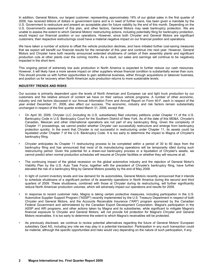In addition, General Motors, our largest customer, representing approximately 19% of our global sales in the first quarter of 2009, has received billions of dollars in government loans and is in need of further loans, has been given a mandate by the U.S. Government to restructure and present an acceptable plan for future viability by the end of this month. Depending on the U.S. Government's assessment of this plan, and other factors, General Motors may seek bankruptcy protection. We are unable to assess the extent to which General Motors' restructuring actions, including potentially filing for bankruptcy protection, would impact our financial position or our operations. However, since both Chrysler and General Motors are significant customers, their respective restructurings could have a material negative impact on our financial position and operations.

We have taken a number of actions to offset the vehicle production declines, and have initiated further cost-saving measures that we expect will benefit our financial results for the remainder of this year and continue into next year. However, General Motors and Chrysler have both recently announced extended shutdowns of certain of their assembly plants and significant production cuts at other plants over the coming months. As a result, our sales and earnings will continue to be negatively impacted in the short term.

This ongoing period of extremely low auto production in North America is expected to further reduce our cash resources. However, it will likely have a more severe impact on other suppliers whose financial condition is substantially worse than ours. This should provide us with further opportunities to gain additional business, either through acquisitions or takeover business, and position us for recovery when North American auto production returns to more sustainable levels.

#### **INDUSTRY TRENDS AND RISKS**

Our success is primarily dependent upon the levels of North American and European car and light truck production by our customers and the relative amount of content we have on their various vehicle programs. A number of other economic, industry and risk factors discussed in our Annual Information Form and Annual Report on Form 40-F, each in respect of the year ended December 31, 2008, also affect our success. The economic, industry and risk factors remain substantially unchanged in respect of the first quarter ended March 31, 2009, except that:

- On April 30, 2009, Chrysler LLC (including its U.S. subsidiaries) filed voluntary petitions under Chapter 11 of the U.S. Bankruptcy Code in U.S. Bankruptcy Court for the Southern District of New York. As of the date of this MD&A, Chrysler's Canadian, Mexican and other international operations are not part of any bankruptcy filing. Given the complexity of Chapter 11 proceedings, we cannot predict whether Chrysler can successfully restructure and emerge from bankruptcy protection quickly. In the event that Chrysler is not successful in restructuring under Chapter 11, its assets could be liquidated under Chapter 7 of the U.S. Bankruptcy Code. It is too early to determine the impact to Magna of Chrysler's bankruptcy filing.
- Chrysler anticipates its Chapter 11 restructuring process to be completed within a period of 30 to 60 days from the bankruptcy filing and has announced that most of its manufacturing operations will be temporarily idled during such restructuring period. Given the potential for a drawn-out bankruptcy process or a liquidation of Chrysler's assets, we cannot predict when normal production schedules will resume at Chrysler facilities or whether they will resume at all.
- The continuing impact of the global recession on the global automotive industry and the rejection of General Motor's Viability Plan by the U.S. Auto Task Force, together with the precedent of Chrysler's bankruptcy filing, have further elevated the risk of a bankruptcy filing by General Motors possibly by the end of May 2009.
- In light of current inventory levels and low demand for its automobiles, General Motors recently announced that it intends to schedule shutdowns of a significant portion of its assembly operations in North America during the second and third quarters of 2009. These shutdowns, combined with those at Chrysler during its restructuring, will further significantly reduce North American production volumes, which will adversely impact our operations and results for 2009.
- In response to recent customer risks, Magna is taking certain protective measures, including participation in the U.S. Automotive Supplier Support Program ("ASSP") recently implemented by the U.S. Treasury Department in respect of both Chrysler and General Motors, and the Accounts Receivable Insurance ("ARI") program sponsored by the Canadian Federal Government and administered by the Canadian Export Development Corporation. Magna's participation in the ASSP and ARI programs, and other actions taken by Magna and its subsidiaries, while significant to mitigate Magna's financial exposure to Chrysler and General Motors, will not provide full protection for Magna's Chrysler and General Motors receivables. It is too early to determine the extent to which Magna's receivables will be protected.
- As previously disclosed, we continue to review potential alternatives regarding the future of General Motors' European subsidiary Opel AG, including any role we may play in a potential transaction. Participation in any such transaction could be material, although the specific opportunities and risks would vary depending on the nature of such participation, if any.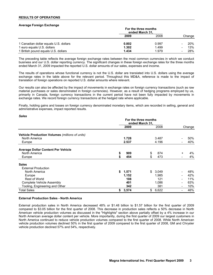#### **RESULTS OF OPERATIONS**

#### **Average Foreign Exchange**

|                                       | For the three months<br>ended March 31, |       |        |            |
|---------------------------------------|-----------------------------------------|-------|--------|------------|
|                                       | 2009                                    | 2008  | Change |            |
| 1 Canadian dollar equals U.S. dollars | 0.802                                   | 0.997 |        | <b>20%</b> |
| 1 euro equals U.S. dollars            | 1.302                                   | 1.499 |        | 13%        |
| 1 British pound equals U.S. dollars   | 1.434                                   | 1.979 |        | 28%        |

The preceding table reflects the average foreign exchange rates between the most common currencies in which we conduct business and our U.S. dollar reporting currency. The significant changes in these foreign exchange rates for the three months ended March 31, 2009 impacted the reported U.S. dollar amounts of our sales, expenses and income.

The results of operations whose functional currency is not the U.S. dollar are translated into U.S. dollars using the average exchange rates in the table above for the relevant period. Throughout this MD&A, reference is made to the impact of translation of foreign operations on reported U.S. dollar amounts where relevant.

Our results can also be affected by the impact of movements in exchange rates on foreign currency transactions (such as raw material purchases or sales denominated in foreign currencies). However, as a result of hedging programs employed by us, primarily in Canada, foreign currency transactions in the current period have not been fully impacted by movements in exchange rates. We record foreign currency transactions at the hedged rate where applicable.

Finally, holding gains and losses on foreign currency denominated monetary items, which are recorded in selling, general and administrative expenses, impact reported results.

|                                                                                                                                                              | For the three months<br>ended March 31, |                                     |          |                                       |           |                                 |
|--------------------------------------------------------------------------------------------------------------------------------------------------------------|-----------------------------------------|-------------------------------------|----------|---------------------------------------|-----------|---------------------------------|
|                                                                                                                                                              |                                         | 2009                                |          | 2008                                  |           | Change                          |
| <b>Vehicle Production Volumes (millions of units)</b><br>North America<br>Europe                                                                             |                                         | 1.728<br>2.537                      |          | 3.487<br>4.196                        |           | 50%<br>40%                      |
| <b>Average Dollar Content Per Vehicle</b><br>North America<br>Europe                                                                                         | \$<br>\$                                | 909<br>454                          | \$<br>\$ | 874<br>473                            | $\ddot{}$ | 4%<br>4%                        |
| <b>Sales</b><br><b>External Production</b><br>North America<br>Europe<br>Rest of World<br><b>Complete Vehicle Assembly</b><br>Tooling, Engineering and Other | \$                                      | 1,571<br>1,152<br>108<br>401<br>342 | \$       | 3,049<br>1,985<br>121<br>1,086<br>381 | -         | 48%<br>42%<br>11%<br>63%<br>10% |
| <b>Total Sales</b>                                                                                                                                           | \$                                      | 3,574                               | \$       | 6,622                                 |           | 46%                             |

### **External Production Sales - North America**

External production sales in North America decreased 48% or \$1.48 billion to \$1.57 billion for the first quarter of 2009 compared to \$3.05 billion for the first quarter of 2008. This decrease in production sales reflects a 50% decrease in North American vehicle production volumes as discussed in the "Highlights" section above partially offset by a 4% increase in our North American average dollar content per vehicle. More importantly, during the first quarter of 2009 our largest customers in North America continued to reduce vehicle production volumes compared to the first quarter of 2008. While North American vehicle production volumes declined 50% in the first quarter of 2009 compared to the first quarter of 2008, GM and Chrysler vehicle production declined 57% and 54%, respectively.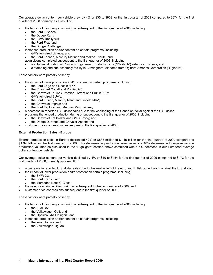Our average dollar content per vehicle grew by 4% or \$35 to \$909 for the first quarter of 2009 compared to \$874 for the first quarter of 2008 primarily as a result of:

- the launch of new programs during or subsequent to the first quarter of 2008, including:
	- the Ford F-Series:
	- the Dodge Ram;
	- the BMW X6/Hybrid;
	- the Ford Flex; and
	- the Dodge Challenger;
	- increased production and/or content on certain programs, including:
	- GM's full-sized pickups; and
	- the Ford Escape, Mercury Mariner and Mazda Tribute; and
	- acquisitions completed subsequent to the first quarter of 2008, including:
		- a substantial portion of Plastech Engineered Products Inc.'s ("Plastech") exteriors business; and
		- a stamping and sub-assembly facility in Birmingham, Alabama from Ogihara America Corporation ("Ogihara").

These factors were partially offset by:

- the impact of lower production and/or content on certain programs, including:
	- the Ford Edge and Lincoln MKX;
	- the Chevrolet Cobalt and Pontiac G5;
	- the Chevrolet Equinox, Pontiac Torrent and Suzuki XL7;
	- GM's full-sized SUV's;
	- the Ford Fusion, Mercury Milan and Lincoln MKZ;
	- the Chevrolet Impala; and
	- the Ford Explorer and Mercury Mountaineer;
- a decrease in reported U.S. dollar sales due to the weakening of the Canadian dollar against the U.S. dollar;
- programs that ended production during or subsequent to the first quarter of 2008, including:
	- the Chevrolet Trailblazer and GMC Envoy; and
	- the Dodge Durango and Chrysler Aspen; and
- customer price concessions subsequent to the first quarter of 2008.

# **External Production Sales - Europe**

External production sales in Europe decreased 42% or \$833 million to \$1.15 billion for the first quarter of 2009 compared to \$1.99 billion for the first quarter of 2008. This decrease in production sales reflects a 40% decrease in European vehicle production volumes as discussed in the "Highlights" section above combined with a 4% decrease in our European average dollar content per vehicle.

Our average dollar content per vehicle declined by 4% or \$19 to \$454 for the first quarter of 2009 compared to \$473 for the first quarter of 2008, primarily as a result of:

- a decrease in reported U.S. dollar sales due to the weakening of the euro and British pound, each against the U.S. dollar;
	- the impact of lower production and/or content on certain programs, including:
	- the BMW X3;
		- the Ford Transit; and
		- the Mercedes-Benz C-Class;
- the sale of certain facilities during or subsequent to the first quarter of 2008; and
- customer price concessions subsequent to the first quarter of 2008.

## These factors were partially offset by:

- the launch of new programs during or subsequent to the first quarter of 2008, including:
	- the Audi Q5;
	- the Volkswagen Golf; and
	- the Opel/Vauxhall Insignia; and
- increased production and/or content on certain programs, including:
	- the smart fortwo; and
	- the Volkswagen Tiguan.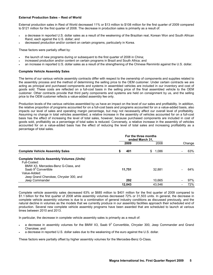#### **External Production Sales – Rest of World**

External production sales in Rest of World decreased 11% or \$13 million to \$108 million for the first quarter of 2009 compared to \$121 million for the first quarter of 2008. The decrease in production sales is primarily as a result of:

- a decrease in reported U.S. dollar sales as a result of the weakening of the Brazilian real, Korean Won and South African Rand, each against the U.S. dollar; and
- decreased production and/or content on certain programs, particularly in Korea.

These factors were partially offset by:

- the launch of new programs during or subsequent to the first quarter of 2008 in China;
- increased production and/or content on certain programs in Brazil and South Africa; and
- an increase in reported U.S. dollar sales as a result of the strengthening of the Chinese Renminbi against the U.S. dollar.

#### **Complete Vehicle Assembly Sales**

The terms of our various vehicle assembly contracts differ with respect to the ownership of components and supplies related to the assembly process and the method of determining the selling price to the OEM customer. Under certain contracts we are acting as principal and purchased components and systems in assembled vehicles are included in our inventory and cost of goods sold. These costs are reflected on a full-cost basis in the selling price of the final assembled vehicle to the OEM customer. Other contracts provide that third party components and systems are held on consignment by us, and the selling price to the OEM customer reflects a value-added assembly fee only.

Production levels of the various vehicles assembled by us have an impact on the level of our sales and profitability. In addition, the relative proportion of programs accounted for on a full-cost basis and programs accounted for on a value-added basis, also impacts our level of sales and operating margin percentage, but may not necessarily affect our overall level of profitability. Assuming no change in total vehicles assembled, a relative increase in the assembly of vehicles accounted for on a full-cost basis has the effect of increasing the level of total sales, however, because purchased components are included in cost of goods sold, profitability as a percentage of total sales is reduced. Conversely, a relative increase in the assembly of vehicles accounted for on a value-added basis has the effect of reducing the level of total sales and increasing profitability as a percentage of total sales.

|                                                  | For the three months<br>ended March 31. |             |        |
|--------------------------------------------------|-----------------------------------------|-------------|--------|
|                                                  | 2009                                    | 2008        | Change |
| <b>Complete Vehicle Assembly Sales</b>           | 401<br>S                                | \$<br>1.086 | 63%    |
| <b>Complete Vehicle Assembly Volumes (Units)</b> |                                         |             |        |
| Full-Costed:                                     |                                         |             |        |
| BMW X3, Mercedes-Benz G-Class, and               |                                         |             |        |
| Saab $93$ Convertible                            | 11,751                                  | 32.881      | 64%    |
| Value-Added:                                     |                                         |             |        |
| Jeep Grand Cherokee, Chrysler 300, and           |                                         |             |        |
| Jeep Commander                                   | 292                                     | 10.665      | 97%    |
|                                                  | 12.043                                  | 43.546      | 72%    |

Complete vehicle assembly sales decreased 63% or \$685 million to \$401 million for the first quarter of 2009 compared to \$1.1 billion for the first quarter of 2008 while assembly volumes decreased 72% or 31,503 units. In general, the decrease in complete vehicle assembly volumes is due to a combination of general industry conditions as discussed previously, and the natural decline in volumes as the models that we currently produce in our assembly facilities approach their scheduled end of production. Several new complete vehicle assembly programs have been awarded that are scheduled to launch at various times between 2010 and 2013.

In particular, the decrease in complete vehicle assembly sales is primarily as a result of:

- $\cdot$  a decrease in assembly volumes for the BMW X3, Saab 9<sup>3</sup> Convertible, Chrysler 300, Jeep Commander and Grand Cherokee; and
- a decrease in reported U.S. dollar sales due to the weakening of the euro against the U.S. dollar.

These factors were partially offset by higher assembly volumes for the Mercedes-Benz G-Class.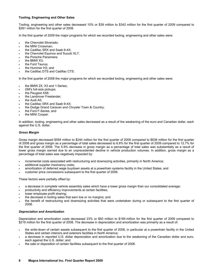#### **Tooling, Engineering and Other Sales**

Tooling, engineering and other sales decreased 10% or \$39 million to \$342 million for the first quarter of 2009 compared to \$381 million for the first quarter of 2008.

In the first quarter of 2009 the major programs for which we recorded tooling, engineering and other sales were:

- the Chevrolet Silverado;
- the MINI Crossman:
- the Cadillac SRX and Saab 9-4X;
- the Chevrolet Equinox and Suzuki XL7;
- the Porsche Panamera:
- the BMW X3:
- the Ford Taurus:
- the Hummer H3; and
- the Cadillac DTS and Cadillac CTS.

In the first quarter of 2008 the major programs for which we recorded tooling, engineering and other sales were:

- the BMW Z4, X3 and 1-Series;
- GM's full-size pickups;
- the Peugeot A58;
- the Landrover Freelander;
- the Audi A5:
- the Cadillac SRX and Saab 9-4X;
- the Dodge Grand Caravan and Chrysler Town & Country;
- the Ford F-Series; and
- the MINI Cooper.

In addition, tooling, engineering and other sales decreased as a result of the weakening of the euro and Canadian dollar, each against the U.S. dollar.

#### *Gross Margin*

Gross margin decreased \$594 million to \$244 million for the first quarter of 2009 compared to \$838 million for the first quarter of 2008 and gross margin as a percentage of total sales decreased to 6.8% for the first quarter of 2009 compared to 12.7% for the first quarter of 2008. The 5.9% decrease in gross margin as a percentage of total sales was substantially as a result of lower gross margin earned due to an unprecedented decline in vehicle production volumes. In addition, gross margin as a percentage of total sales was negatively impacted by:

- incremental costs associated with restructuring and downsizing activities, primarily in North America;
- additional supplier insolvency costs;
- amortization of deferred wage buydown assets at a powertrain systems facility in the United States; and
- customer price concessions subsequent to the first quarter of 2008.

These factors were partially offset by:

- a decrease in complete vehicle assembly sales which have a lower gross margin than our consolidated average;
- productivity and efficiency improvements at certain facilities;
- lower employee profit sharing:
- the decrease in tooling sales that earn low or no margins; and
- the benefit of restructuring and downsizing activities that were undertaken during or subsequent to the first quarter of 2008.

#### *Depreciation and Amortization*

Depreciation and amortization costs decreased 23% or \$50 million to \$169 million for the first quarter of 2009 compared to \$219 million for the first quarter of 2008. The decrease in depreciation and amortization was primarily as a result of:

- the write-down of certain assets subsequent to the first quarter of 2008, in particular at a powertrain facility in the United States and certain interiors and exteriors facilities in North America;
- a decrease in reported U.S. dollar depreciation and amortization due to the weakening of the Canadian dollar and euro, each against the U.S. dollar; and
- the sale or disposition of certain facilities subsequent to the first quarter of 2008.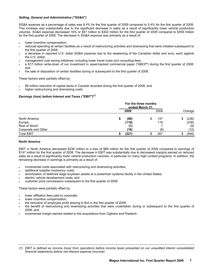## *Selling, General and Administrative ("SG&A")*

SG&A expense as a percentage of sales was 8.4% for the first quarter of 2009 compared to 5.4% for the first quarter of 2008. This increase was substantially due to the significant decrease in sales as a result of significantly lower vehicle production volumes. SG&A expense decreased 16% or \$57 million to \$302 million for the first quarter of 2009 compared to \$359 million for the first quarter of 2008. The decrease in SG&A expense was primarily as a result of:

- lower incentive compensation;
- reduced spending at certain facilities as a result of restructuring activities and downsizing that were initiated subsequent to the first quarter of 2008;
- a decrease in reported U.S. dollar SG&A expense due to the weakening of the Canadian dollar and euro, each against the U.S. dollar;
- management cost saving initiatives, including lower travel costs and consulting fees;
- a \$17 million write-down of our investment in asset-backed commercial paper ("ABCP") during the first quarter of 2008; and
- the sale or disposition of certain facilities during or subsequent to the first quarter of 2008.

These factors were partially offset by:

- \$9 million reduction of capital taxes in Canada recorded during the first quarter of 2008; and
- higher restructuring and downsizing costs.

# *Earnings (loss) before Interest and Taxes ("EBIT")(1)*

|                     | For the three months<br>ended March 31. |       |    |      |    |        |
|---------------------|-----------------------------------------|-------|----|------|----|--------|
|                     |                                         | 2009  |    | 2008 |    | Change |
| North America       |                                         | (89)  | \$ | 147  | S  | (236)  |
| Europe              |                                         | (119) |    | 119  |    | (238)  |
| Rest of World       |                                         | (1)   |    |      |    | (8)    |
| Corporate and Other |                                         | (18)  |    | (6)  |    | (12)   |
| <b>Total EBIT</b>   |                                         | (227) | Œ  | 267  | æ. | (494)  |

# **North America**

EBIT in North America decreased \$236 million to a loss of \$89 million for the first quarter of 2009 compared to earnings of \$147 million for the first quarter of 2008. The decrease in EBIT was substantially due to decreased margins earned on reduced sales as a result of significantly lower vehicle production volumes, in particular on many high content programs. In addition, the remaining decrease in earnings is primarily as a result of:

- incremental costs associated with restructuring and downsizing activities;
- additional supplier insolvency costs;
- amortization of deferred wage buydown assets at a powertrain systems facility in the United States;
- electric vehicle development costs; and
- customer price concessions subsequent to the first quarter of 2008.

These factors were partially offset by:

- lower affiliation fees paid to corporate;
- lower incentive compensation;
- the reduction of employee profit sharing to \$nil in the first quarter of 2009;
- the benefit of restructuring and downsizing activities that were undertaken during or subsequent to the first quarter of 2008; and
- incremental margin earned related to the acquisitions from Ogihara and Plastech.

*<sup>(1)</sup> EBIT is defined as income (loss) from operations before income taxes presented on our unaudited interim consolidated financial statements before net interest expense (income).*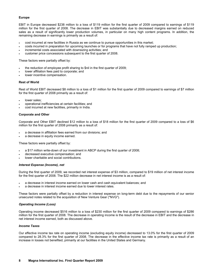# **Europe**

EBIT in Europe decreased \$238 million to a loss of \$119 million for the first quarter of 2009 compared to earnings of \$119 million for the first quarter of 2008. The decrease in EBIT was substantially due to decreased margins earned on reduced sales as a result of significantly lower production volumes, in particular on many high content programs. In addition, the remaining decrease in earnings is primarily as a result of:

- cost incurred at new facilities in Russia as we continue to pursue opportunities in this market;
- costs incurred in preparation for upcoming launches or for programs that have not fully ramped up production;
- incremental costs associated with downsizing activities; and
- customer price concessions subsequent to the first quarter of 2008.

These factors were partially offset by:

- the reduction of employee profit sharing to \$nil in the first quarter of 2009;
- lower affiliation fees paid to corporate; and
- lower incentive compensation.

#### **Rest of World**

Rest of World EBIT decreased \$8 million to a loss of \$1 million for the first quarter of 2009 compared to earnings of \$7 million for the first quarter of 2008 primarily as a result of:

- lower sales:
- operational inefficiencies at certain facilities; and
- cost incurred at new facilities, primarily in India.

#### **Corporate and Other**

Corporate and Other EBIT declined \$12 million to a loss of \$18 million for the first quarter of 2009 compared to a loss of \$6 million for the first quarter of 2008 primarily as a result of:

- a decrease in affiliation fees earned from our divisions; and
- a decrease in equity income earned.

These factors were partially offset by:

- a \$17 million write-down of our investment in ABCP during the first quarter of 2008;
- decreased executive compensation; and
- lower charitable and social contributions.

#### *Interest Expense (Income), net*

During the first quarter of 2009, we recorded net interest expense of \$3 million, compared to \$19 million of net interest income for the first quarter of 2008. The \$22 million decrease in net interest income is as a result of:

- a decrease in interest income earned on lower cash and cash equivalent balances; and
- a decrease in interest income earned due to lower interest rates.

These factors were partially offset by a reduction in interest expense on long-term debt due to the repayments of our senior unsecured notes related to the acquisition of New Venture Gear ("NVG").

## *Operating Income (Loss)*

Operating income decreased \$516 million to a loss of \$230 million for the first quarter of 2009 compared to earnings of \$286 million for the first quarter of 2008. The decrease in operating income is the result of the decrease in EBIT and the decrease in net interest income earned, both as discussed above.

#### *Income Taxes*

Our effective income tax rate on operating income (excluding equity income) decreased to 13.0% for the first quarter of 2009 compared to 28.3% for the first quarter of 2008. The decrease in the effective income tax rate is primarily as a result of an increase in losses not benefited, primarily at our facilities in the United States and Germany.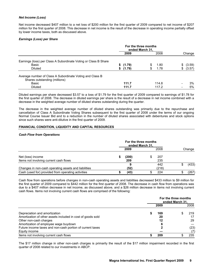#### *Net Income (Loss)*

Net income decreased \$407 million to a net loss of \$200 million for the first quarter of 2009 compared to net income of \$207 million for the first quarter of 2008. This decrease in net income is the result of the decrease in operating income partially offset by lower income taxes, both as discussed above.

### *Earnings (Loss) per Share*

|                                                                 | For the three months<br>ended March 31, |        |  |       |    |        |
|-----------------------------------------------------------------|-----------------------------------------|--------|--|-------|----|--------|
|                                                                 |                                         | 2009   |  | 2008  |    | Change |
| Earnings (loss) per Class A Subordinate Voting or Class B Share |                                         |        |  |       |    |        |
| Basic                                                           | S.                                      | (1.79) |  | 1.80  | S  | (3.59) |
| <b>Diluted</b>                                                  | S.                                      | (1.79) |  | 1.78  | \$ | (3.57) |
| Average number of Class A Subordinate Voting and Class B        |                                         |        |  |       |    |        |
| Shares outstanding (millions)                                   |                                         |        |  |       |    |        |
| Basic                                                           |                                         | 111.7  |  | 114.8 |    | 3%     |
| <b>Diluted</b>                                                  |                                         | 111.7  |  | 117.2 |    | 5%     |

Diluted earnings per share decreased \$3.57 to a loss of \$1.79 for the first quarter of 2009 compared to earnings of \$1.78 for the first quarter of 2008. The decrease in diluted earnings per share is the result of a decrease in net income combined with a decrease in the weighted average number of diluted shares outstanding during the quarter.

The decrease in the weighted average number of diluted shares outstanding was primarily due to the repurchase and cancellation of Class A Subordinate Voting Shares subsequent to the first quarter of 2008 under the terms of our ongoing Normal Course Issuer Bid and to a reduction in the number of diluted shares associated with debentures and stock options since such shares were anti-dilutive in the first quarter of 2009.

#### **FINANCIAL CONDITION, LIQUIDITY AND CAPITAL RESOURCES**

#### *Cash Flow from Operations*

|                                                      | For the three months<br>ended March 31. |       |  |            |  |        |
|------------------------------------------------------|-----------------------------------------|-------|--|------------|--|--------|
|                                                      |                                         | 2009  |  | 2008       |  | Change |
| Net (loss) income                                    |                                         | (200) |  | 207        |  |        |
| Items not involving current cash flows               |                                         | 209   |  | 235<br>442 |  | (433)  |
| Changes in non-cash operating assets and liabilities |                                         | (52)  |  | (218)      |  |        |
| Cash (used for) provided from operating activities   |                                         | (43)  |  | 224        |  | (267)  |

Cash flow from operations before changes in non-cash operating assets and liabilities decreased \$433 million to \$9 million for the first quarter of 2009 compared to \$442 million for the first quarter of 2008. The decrease in cash flow from operations was due to a \$407 million decrease in net income, as discussed above, and a \$26 million decrease in items not involving current cash flows. Items not involving current cash flows are comprised of the following:

|                                                             | For the three months<br>ended March 31, |      |  |      |
|-------------------------------------------------------------|-----------------------------------------|------|--|------|
|                                                             |                                         | 2009 |  | 2008 |
| Depreciation and amortization                               |                                         | 169  |  | 219  |
| Amortization of other assets included in cost of goods sold |                                         | 20   |  | 17   |
| Other non-cash charges                                      |                                         | 12   |  | 29   |
| Amortization of employee wage buydown                       |                                         | 6    |  |      |
| Future income taxes and non-cash portion of current taxes   |                                         |      |  | (23) |
| Equity income                                               |                                         |      |  |      |
| Items not involving current cash flows                      |                                         | 209  |  | 235  |

The \$17 million change in other non-cash charges is primarily the result of the \$17 million impairment recorded in the first quarter of 2008 related to our investments in ABCP.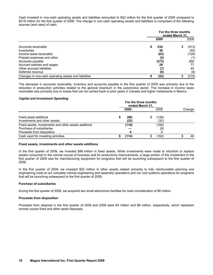Cash invested in non-cash operating assets and liabilities amounted to \$52 million for the first quarter of 2009 compared to \$218 million for the first quarter of 2008. The change in non-cash operating assets and liabilities is comprised of the following sources (and uses) of cash:

|                                                      | For the three months<br>ended March 31. |     |       |  |
|------------------------------------------------------|-----------------------------------------|-----|-------|--|
|                                                      | 2009                                    |     | 2008  |  |
| Accounts receivable                                  | 234<br>S                                |     | (413) |  |
| Inventories                                          | 36                                      |     | (50)  |  |
| Income taxes receivable                              | (63)                                    |     | (129) |  |
| Prepaid expenses and other                           | (2)                                     |     | (1)   |  |
| Accounts payable                                     | (273)                                   |     | 266   |  |
| Accrued salaries and wages                           | 29                                      |     |       |  |
| Other accrued liabilities                            | (7)                                     |     | 40    |  |
| Deferred revenue                                     |                                         | (6) | (8)   |  |
| Changes in non-cash operating assets and liabilities | (52)                                    |     | (218) |  |

The decrease in accounts receivable, inventory and accounts payable in the first quarter of 2009 was primarily due to the reduction in production activities related to the general downturn in the automotive sector. The increase in income taxes receivable was primarily due to losses that can be carried back to prior years in Canada and higher instalments in Mexico.

#### *Capital and Investment Spending*

|                                                                                  | For the three months<br>ended March 31, |              |  |               |        |
|----------------------------------------------------------------------------------|-----------------------------------------|--------------|--|---------------|--------|
|                                                                                  |                                         | 2009         |  | 2008          | Change |
| Fixed asset additions<br>Investments and other assets                            |                                         | (96)<br>(22) |  | (128)<br>(32) |        |
| Fixed assets, investments and other assets additions<br>Purchase of subsidiaries |                                         | (118)        |  | (160)<br>(8)  |        |
| Proceeds from disposition<br>Cash used for investing activities                  |                                         | (114)        |  | 6<br>(162)    | 48     |

#### **Fixed assets, investments and other assets additions**

In the first quarter of 2009, we invested \$96 million in fixed assets. While investments were made to refurbish or replace assets consumed in the normal course of business and for productivity improvements, a large portion of the investment in the first quarter of 2009 was for manufacturing equipment for programs that will be launching subsequent to the first quarter of 2009.

In the first quarter of 2009, we invested \$22 million in other assets related primarily to fully reimbursable planning and engineering costs at our complete vehicle engineering and assembly operations and our roof systems operations for programs that will be launching subsequent to the first quarter of 2009.

#### **Purchase of subsidiaries**

During the first quarter of 2008, we acquired two small electronics facilities for cash consideration of \$8 million.

#### **Proceeds from disposition**

Proceeds from disposal in the first quarter of 2009 and 2008 were \$4 million and \$6 million, respectively, which represent normal course fixed and other asset disposals.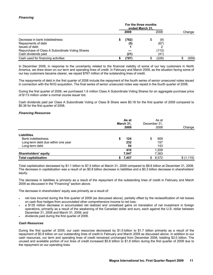# *Financing*

|                                                 | For the three months<br>ended March 31. |       |    |       |        |
|-------------------------------------------------|-----------------------------------------|-------|----|-------|--------|
|                                                 |                                         | 2009  |    | 2008  | Change |
| Decrease in bank indebtedness                   |                                         | (762) | \$ | (9)   |        |
| Repayments of debt                              |                                         | (5)   |    | (67)  |        |
| Issues of debt                                  |                                         |       |    |       |        |
| Repurchase of Class A Subordinate Voting Shares |                                         |       |    | (113) |        |
| Cash dividends paid                             |                                         | (21)  |    | (41)  |        |
| Cash used for financing activities              |                                         | (787) |    | (228) | (559)  |

In December 2008, in response to the uncertainty related to the financial viability of some of our key customers in North America, we drew down on our term and operating lines of credit. In February and March 2009, as the situation facing some of our key customers became clearer, we repaid \$767 million of the outstanding lines of credit.

The repayments of debt in the first quarter of 2008 include the repayment of the fourth series of senior unsecured notes issued in connection with the NVG acquisition. The final series of senior unsecured notes was repaid in the fourth quarter of 2008.

During the first quarter of 2008, we purchased 1.6 million Class A Subordinate Voting Shares for an aggregate purchase price of \$113 million under a normal course issuer bid.

Cash dividends paid per Class A Subordinate Voting or Class B Share were \$0.18 for the first quarter of 2009 compared to \$0.36 for the first quarter of 2008.

## *Financing Resources*

|                                    |             | As at<br>March 31,<br>2009 |    | As at<br>December 31,<br>2008 | Change     |
|------------------------------------|-------------|----------------------------|----|-------------------------------|------------|
| <b>Liabilities</b>                 |             |                            |    |                               |            |
| <b>Bank indebtedness</b>           | S           | 124                        | \$ | 909                           |            |
| Long-term debt due within one year | 232         |                            |    | 157                           |            |
| Long-term debt                     |             | 54                         |    | 143                           |            |
|                                    | 410         |                            |    | 1,209                         |            |
| <b>Shareholders' equity</b>        | 7,047       |                            |    | 7,363                         |            |
| <b>Total capitalization</b>        | 7,457<br>S. |                            | \$ | 8,572                         | \$(1, 115) |

Total capitalization decreased by \$1.1 billion to \$7.5 billion at March 31, 2009 compared to \$8.6 billion at December 31, 2008. The decrease in capitalization was a result of an \$0.8 billion decrease in liabilities and a \$0.3 billion decrease in shareholders' equity.

The decrease in liabilities is primarily as a result of the repayment of the outstanding lines of credit in February and March 2009 as discussed in the "Financing" section above.

The decrease in shareholders' equity was primarily as a result of:

- net loss incurred during the first quarter of 2009 (as discussed above), partially offset by the reclassification of net losses on cash flow hedges from accumulated other comprehensive income to net loss;
- a \$135 million decrease in accumulated net realized and unrealized gains on translation of net investment in foreign operations, primarily as a result of the weakening of the Canadian dollar and euro, each against the U.S. dollar between December 31, 2008 and March 31, 2009; and
- dividends paid during the first quarter of 2009.

## *Cash Resources*

During the first quarter of 2009, our cash resources decreased by \$1.0 billion to \$1.7 billion primarily as a result of the repayment of \$0.8 billion on our outstanding lines of credit in February and March 2009 as discussed above. In addition to our cash resources, our term and operating lines of credit remained unchanged from December 2008, totalling \$2.0 billion. The unused and available portion of our lines of credit increased \$0.8 billion to \$1.8 billion during the first quarter of 2009 due to the repayment on our operating lines.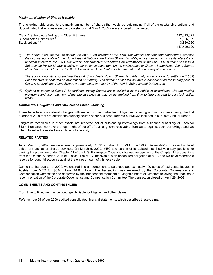#### *Maximum Number of Shares Issuable*

The following table presents the maximum number of shares that would be outstanding if all of the outstanding options and Subordinated Debentures issued and outstanding at May 4, 2009 were exercised or converted:

| Class A Subordinate Voting and Class B Shares | 112.613.071 |
|-----------------------------------------------|-------------|
| Subordinated Debentures <sup>(1)</sup>        | 1.096.589   |
| Stock options <sup>(ii)</sup>                 | 3.820.060   |
|                                               | 117.529.720 |

*(i) The above amounts include shares issuable if the holders of the 6.5% Convertible Subordinated Debentures exercise their conversion option but exclude Class A Subordinate Voting Shares issuable, only at our option, to settle interest and principal related to the 6.5% Convertible Subordinated Debentures on redemption or maturity. The number of Class A Subordinate Voting Shares issuable at our option is dependent on the trading price of Class A Subordinate Voting Shares at the time we elect to settle the 6.5% Convertible Subordinated Debenture interest and principal with shares.* 

 *The above amounts also exclude Class A Subordinate Voting Shares issuable, only at our option, to settle the 7.08% Subordinated Debentures on redemption or maturity. The number of shares issuable is dependent on the trading price of Class A Subordinate Voting Shares at redemption or maturity of the 7.08% Subordinated Debentures.* 

*(ii) Options to purchase Class A Subordinate Voting Shares are exercisable by the holder in accordance with the vesting provisions and upon payment of the exercise price as may be determined from time to time pursuant to our stock option plans.* 

#### *Contractual Obligations and Off-Balance Sheet Financing*

There have been no material changes with respect to the contractual obligations requiring annual payments during the first quarter of 2009 that are outside the ordinary course of our business. Refer to our MD&A included in our 2008 Annual Report.

Long-term receivables in other assets are reflected net of outstanding borrowings from a finance subsidiary of Saab for \$13 million since we have the legal right of set-off of our long-term receivable from Saab against such borrowings and we intend to settle the related amounts simultaneously.

#### **RELATED PARTIES**

As at March 5, 2009, we were owed approximately Cdn\$1.9 million from MEC (the ''MEC Receivable'') in respect of head office rent and other shared services. On March 5, 2009, MEC and certain of its subsidiaries filed voluntary petitions for bankruptcy protection under Chapter 11 of the U.S. Bankruptcy Code and obtained recognition of the Chapter 11 proceedings from the Ontario Superior Court of Justice. The MEC Receivable is an unsecured obligation of MEC and we have recorded a reserve for doubtful accounts against the entire amount of this receivable.

During the first quarter of 2009, we entered into an agreement to purchase approximately 100 acres of real estate located in Austria from MEC for \$6.0 million [€4.6 million]. The transaction was reviewed by the Corporate Governance and Compensation Committee and approved by the independent members of Magna's Board of Directors following the unanimous recommendation of the Corporate Governance and Compensation Committee. The transaction closed on April 28, 2009.

### **COMMITMENTS AND CONTINGENCIES**

From time to time, we may be contingently liable for litigation and other claims.

Refer to note 24 of our 2008 audited consolidated financial statements, which describes these claims.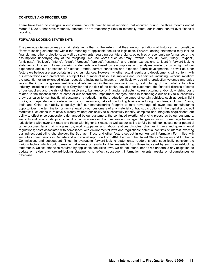#### **CONTROLS AND PROCEDURES**

There have been no changes in our internal controls over financial reporting that occurred during the three months ended March 31, 2009 that have materially affected, or are reasonably likely to materially affect, our internal control over financial reporting.

### **FORWARD-LOOKING STATEMENTS**

The previous discussion may contain statements that, to the extent that they are not recitations of historical fact, constitute "forward-looking statements" within the meaning of applicable securities legislation. Forward-looking statements may include financial and other projections, as well as statements regarding our future plans, objectives or economic performance, or the assumptions underlying any of the foregoing. We use words such as "may", "would", "could", "will", "likely", "expect", "anticipate", "believe", "intend", "plan", "forecast", "project", "estimate" and similar expressions to identify forward-looking statements. Any such forward-looking statements are based on assumptions and analyses made by us in light of our experience and our perception of historical trends, current conditions and expected future developments, as well as other factors we believe are appropriate in the circumstances. However, whether actual results and developments will conform with our expectations and predictions is subject to a number of risks, assumptions and uncertainties, including, without limitation: the potential for an extended global recession, including its impact on our liquidity; declining production volumes and sales levels; the impact of government financial intervention in the automotive industry; restructuring of the global automotive industry, including the bankruptcy of Chrysler and the risk of the bankruptcy of other customers; the financial distress of some of our suppliers and the risk of their insolvency, bankruptcy or financial restructuring; restructuring and/or downsizing costs related to the rationalization of some of our operations; impairment charges; shifts in technology; our ability to successfully grow our sales to non-traditional customers; a reduction in the production volumes of certain vehicles, such as certain light trucks; our dependence on outsourcing by our customers; risks of conducting business in foreign countries, including Russia, India and China; our ability to quickly shift our manufacturing footprint to take advantage of lower cost manufacturing opportunities; the termination or non-renewal by our customers of any material contracts; disruptions in the capital and credit markets; fluctuations in relative currency values; our ability to successfully identify, complete and integrate acquisitions; our ability to offset price concessions demanded by our customers; the continued exertion of pricing pressures by our customers; warranty and recall costs; product liability claims in excess of our insurance coverage; changes in our mix of earnings between jurisdictions with lower tax rates and those with higher tax rates, as well as our ability to fully benefit tax losses; other potential tax exposures; legal claims against us; work stoppages and labour relations disputes; changes in laws and governmental regulations; costs associated with compliance with environmental laws and regulations; potential conflicts of interest involving our indirect controlling shareholder, the Stronach Trust; and other factors set out in our Annual Information Form filed with securities commissions in Canada and our annual report on Form 40-F filed with the United States Securities and Exchange Commission, and subsequent filings. In evaluating forward-looking statements, readers should specifically consider the various factors which could cause actual events or results to differ materially from those indicated by such forward-looking statements. Unless otherwise required by applicable securities laws, we do not intend, nor do we undertake any obligation, to update or revise any forward-looking statements to reflect subsequent information, events, results or circumstances or otherwise.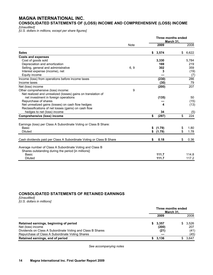# **MAGNA INTERNATIONAL INC.**

**CONSOLIDATED STATEMENTS OF (LOSS) INCOME AND COMPREHENSIVE (LOSS) INCOME** 

*[Unaudited]* 

*[U.S. dollars in millions, except per share figures]* 

|                                                                     |             |    | Three months ended<br>March 31, |             |
|---------------------------------------------------------------------|-------------|----|---------------------------------|-------------|
|                                                                     | <b>Note</b> |    | 2009                            | 2008        |
| <b>Sales</b>                                                        |             | S  | 3,574                           | \$<br>6,622 |
| <b>Costs and expenses</b>                                           |             |    |                                 |             |
| Cost of goods sold                                                  |             |    | 3,330                           | 5,784       |
| Depreciation and amortization                                       |             |    | 169                             | 219         |
| Selling, general and administrative                                 | 6, 9        |    | 302                             | 359         |
| Interest expense (income), net                                      |             |    | 3                               | (19)        |
| Equity income                                                       |             |    |                                 | (7)         |
| Income (loss) from operations before income taxes                   |             |    | (230)                           | 286         |
| Income taxes                                                        |             |    | (30)                            | 79          |
| Net (loss) income                                                   |             |    | (200)                           | 207         |
| Other comprehensive (loss) income:                                  | 9           |    |                                 |             |
| Net realized and unrealized (losses) gains on translation of        |             |    |                                 |             |
| net investment in foreign operations                                |             |    | (135)                           | 50          |
| Repurchase of shares                                                |             |    |                                 | (15)        |
| Net unrealized gains (losses) on cash flow hedges                   |             |    | 4                               | (13)        |
| Reclassifications of net losses (gains) on cash flow                |             |    |                                 |             |
| hedges to net (loss) income                                         |             |    | 34                              | (5)         |
| <b>Comprehensive (loss) income</b>                                  |             | \$ | (297)                           | \$<br>224   |
| Earnings (loss) per Class A Subordinate Voting or Class B Share:    |             |    |                                 |             |
| Basic                                                               |             | \$ | (1.79)                          | \$<br>1.80  |
| <b>Diluted</b>                                                      |             | \$ | (1.79)                          | \$<br>1.78  |
|                                                                     |             |    |                                 |             |
| Cash dividends paid per Class A Subordinate Voting or Class B Share |             | \$ | 0.18                            | \$<br>0.36  |
| Average number of Class A Subordinate Voting and Class B            |             |    |                                 |             |
| Shares outstanding during the period [in millions]:                 |             |    |                                 |             |
| <b>Basic</b>                                                        |             |    | 111.7                           | 114.8       |
| <b>Diluted</b>                                                      |             |    | 111.7                           | 117.2       |

# **CONSOLIDATED STATEMENTS OF RETAINED EARNINGS**

*[Unaudited] [U.S. dollars in millions]*

|                                                                                                               |      | Three months ended | March 31, |              |  |
|---------------------------------------------------------------------------------------------------------------|------|--------------------|-----------|--------------|--|
|                                                                                                               | 2009 |                    |           | 2008         |  |
| Retained earnings, beginning of period<br>Net (loss) income                                                   |      | 3,357<br>(200)     |           | 3,526<br>207 |  |
| Dividends on Class A Subordinate Voting and Class B Shares<br>Repurchase of Class A Subordinate Voting Shares |      | (21)               |           | (41)<br>(45) |  |
| Retained earnings, end of period                                                                              |      | 3.136              |           | 3,647        |  |

*See accompanying notes*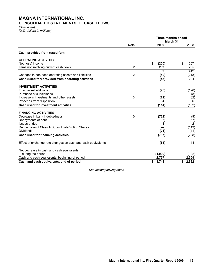# **MAGNA INTERNATIONAL INC. CONSOLIDATED STATEMENTS OF CASH FLOWS**

*[Unaudited] [U.S. dollars in millions]* 

|                                                              |             | Three months ended<br>March 31, |             |
|--------------------------------------------------------------|-------------|---------------------------------|-------------|
|                                                              | <b>Note</b> | 2009                            | 2008        |
| Cash provided from (used for):                               |             |                                 |             |
| <b>OPERATING ACTIVITIES</b>                                  |             |                                 |             |
| Net (loss) income                                            |             | \$<br>(200)                     | \$<br>207   |
| Items not involving current cash flows                       | 2           | 209                             | 235         |
|                                                              |             | 9                               | 442         |
| Changes in non-cash operating assets and liabilities         | 2           | (52)                            | (218)       |
| Cash (used for) provided from operating activities           |             | (43)                            | 224         |
| <b>INVESTMENT ACTIVITIES</b>                                 |             |                                 |             |
| Fixed asset additions                                        |             | (96)                            | (128)       |
| Purchase of subsidiaries                                     |             |                                 | (8)         |
| Increase in investments and other assets                     | 3           | (22)                            | (32)        |
| Proceeds from disposition                                    |             | 4                               | 6           |
| Cash used for investment activities                          |             | (114)                           | (162)       |
| <b>FINANCING ACTIVITIES</b>                                  |             |                                 |             |
| Decrease in bank indebtedness                                | 10          | (762)                           | (9)         |
| Repayments of debt                                           |             | (5)                             | (67)        |
| Issues of debt                                               |             | 1                               | 2           |
| Repurchase of Class A Subordinate Voting Shares              |             |                                 | (113)       |
| <b>Dividends</b>                                             |             | (21)                            | (41)        |
| Cash used for financing activities                           |             | (787)                           | (228)       |
| Effect of exchange rate changes on cash and cash equivalents |             | (65)                            | 44          |
| Net decrease in cash and cash equivalents                    |             |                                 |             |
| during the period                                            |             | (1,009)                         | (122)       |
| Cash and cash equivalents, beginning of period               |             | 2,757                           | 2,954       |
| Cash and cash equivalents, end of period                     |             | \$ 1,748                        | 2,832<br>\$ |

*See accompanying notes*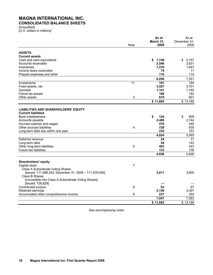# **MAGNA INTERNATIONAL INC. CONSOLIDATED BALANCE SHEETS**

*[Unaudited] [U.S. dollars in millions]* 

|                                                        |      | As at       | As at        |
|--------------------------------------------------------|------|-------------|--------------|
|                                                        |      | March 31.   | December 31. |
|                                                        | Note | 2009        | 2008         |
| <b>ASSETS</b>                                          |      |             |              |
| <b>Current assets</b>                                  |      |             |              |
| Cash and cash equivalents                              |      | \$<br>1,748 | \$<br>2,757  |
| Accounts receivable                                    |      | 2,546       | 2,821        |
| Inventories                                            |      | 1,578       | 1,647        |
| Income taxes receivable                                |      | 74          | 11           |
| Prepaid expenses and other                             |      | 110         | 115          |
|                                                        |      | 6,056       | 7,351        |
| Investments                                            | 11   | 191         | 194          |
| Fixed assets, net                                      |      | 3,527       | 3,701        |
| Goodwill                                               |      | 1,141       | 1,160        |
| Future tax assets                                      |      | 160         | 182          |
| Other assets                                           | 3    | 610         | 601          |
|                                                        |      | \$11,685    | \$13,189     |
|                                                        |      |             |              |
| <b>LIABILITIES AND SHAREHOLDERS' EQUITY</b>            |      |             |              |
| <b>Current liabilities</b>                             |      |             |              |
| <b>Bank indebtedness</b>                               |      | \$<br>124   | \$<br>909    |
| Accounts payable                                       |      | 2,469       | 2,744        |
| Accrued salaries and wages                             |      | 470         | 448          |
| Other accrued liabilities                              | 4    | 729         | 835          |
| Long-term debt due within one year                     |      | 232         | 157          |
|                                                        |      | 4,024       | 5,093        |
| Deferred revenue                                       |      | 24          | 31           |
| Long-term debt                                         |      | 54          | 143          |
| Other long-term liabilities                            | 5    | 403         | 423          |
| Future tax liabilities                                 |      | 133         | 136          |
|                                                        |      | 4,638       | 5,826        |
| <b>Shareholders' equity</b>                            |      |             |              |
| Capital stock                                          | 7    |             |              |
| <b>Class A Subordinate Voting Shares</b>               |      |             |              |
| [issued: 111,886,242; December 31, 2008 - 111,879,059] |      | 3,611       | 3,605        |
| Class B Shares                                         |      |             |              |
| [convertible into Class A Subordinate Voting Shares]   |      |             |              |
| [issued: 726,829]                                      |      |             |              |
| Contributed surplus                                    | 8    | 63          | 67           |
| Retained earnings                                      |      | 3,136       | 3,357        |
| Accumulated other comprehensive income                 | 9    | 237         | 334          |
|                                                        |      | 7,047       | 7,363        |
|                                                        |      | \$11,685    | \$13,189     |

*See accompanying notes*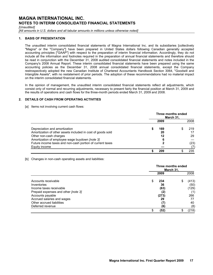### *[Unaudited]*

*[All amounts in U.S. dollars and all tabular amounts in millions unless otherwise noted]* 

#### **1. BASIS OF PRESENTATION**

The unaudited interim consolidated financial statements of Magna International Inc. and its subsidiaries [collectively "Magna" or the "Company"] have been prepared in United States dollars following Canadian generally accepted accounting principles ["GAAP"] with respect to the preparation of interim financial information. Accordingly, they do not include all the information and footnotes required in the preparation of annual financial statements and therefore should be read in conjunction with the December 31, 2008 audited consolidated financial statements and notes included in the Company's 2008 Annual Report. These interim consolidated financial statements have been prepared using the same accounting policies as the December 31, 2008 annual consolidated financial statements, except the Company restrospectively adopted the new Canadian Institute of Chartered Accountants Handbook Section 3064, "Goodwill and Intangible Assets", with no restatement of prior periods. The adoption of these recommendations had no material impact on the interim consolidated financial statements.

In the opinion of management, the unaudited interim consolidated financial statements reflect all adjustments, which consist only of normal and recurring adjustments, necessary to present fairly the financial position at March 31, 2009 and the results of operations and cash flows for the three-month periods ended March 31, 2009 and 2008.

## **2. DETAILS OF CASH FROM OPERATING ACTIVITIES**

[a] Items not involving current cash flows:

|                                                             | Three months ended<br>March 31. |      |  |      |
|-------------------------------------------------------------|---------------------------------|------|--|------|
|                                                             |                                 | 2009 |  | 2008 |
| Depreciation and amortization                               |                                 | 169  |  | 219  |
| Amortization of other assets included in cost of goods sold |                                 | 20   |  | 17   |
| Other non-cash charges                                      |                                 | 12   |  | 29   |
| Amortization of employee wage buydown [note 3]              |                                 | 6    |  |      |
| Future income taxes and non-cash portion of current taxes   |                                 |      |  | (23) |
| Equity income                                               |                                 |      |  |      |
|                                                             |                                 | 209  |  | 235  |

#### [b] Changes in non-cash operating assets and liabilities:

|                                     | Three months ended<br>March 31, |       |    |       |
|-------------------------------------|---------------------------------|-------|----|-------|
|                                     |                                 | 2009  |    | 2008  |
| Accounts receivable                 | S                               | 234   | \$ | (413) |
| Inventories                         |                                 | 36    |    | (50)  |
| Income taxes receivable             |                                 | (63)  |    | (129) |
| Prepaid expenses and other [note 3] |                                 | (2)   |    | (1)   |
| Accounts payable                    |                                 | (273) |    | 266   |
| Accrued salaries and wages          |                                 | 29    |    | 77    |
| Other accrued liabilities           |                                 | (7)   |    | 40    |
| Deferred revenue                    |                                 | (6)   |    | (8)   |
|                                     |                                 | (52)  | \$ | (218) |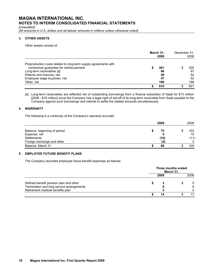*[Unaudited]* 

*[All amounts in U.S. dollars and all tabular amounts in millions unless otherwise noted]* 

## **3. OTHER ASSETS**

Other assets consist of:

|                                                                 | March 31,<br>2009 |     | December 31,<br>2008 |     |
|-----------------------------------------------------------------|-------------------|-----|----------------------|-----|
| Preproduction costs related to long-term supply agreements with |                   |     |                      |     |
| contractual guarantee for reimbursement                         |                   | 261 |                      | 230 |
| Long-term receivables [a]                                       |                   | 66  |                      | 67  |
| Patents and licences, net                                       |                   | 50  |                      | 54  |
| Employee wage buydown, net                                      |                   | 47  |                      | 52  |
| Other, net                                                      |                   | 186 |                      | 198 |
|                                                                 |                   | 610 |                      | 601 |

[a] Long-term receivables are reflected net of outstanding borrowings from a finance subsidiary of Saab for \$13 million [2008 - \$16 million] since the Company has a legal right of set-off of its long-term receivable from Saab payable to the Company against such borrowings and intends to settle the related amounts simultaneously.

# **4. WARRANTY**

The following is a continuity of the Company's warranty accruals:

|                                                                                           | 2009       | 2008              |
|-------------------------------------------------------------------------------------------|------------|-------------------|
| Balance, beginning of period<br>Expense, net<br>Settlements<br>Foreign exchange and other | 75<br>(10) | 103<br>10<br>(11) |
| Balance, March 31                                                                         | 68         | 105               |

# **5. EMPLOYEE FUTURE BENEFIT PLANS**

The Company recorded employee future benefit expenses as follows:

|                                           |      | Three months ended<br>March 31, |      |  |
|-------------------------------------------|------|---------------------------------|------|--|
|                                           | 2009 |                                 | 2008 |  |
| Defined benefit pension plan and other    |      |                                 | 5    |  |
| Termination and long service arrangements |      |                                 | 9    |  |
| Retirement medical benefits plan          |      |                                 |      |  |
|                                           | 14   |                                 | 17   |  |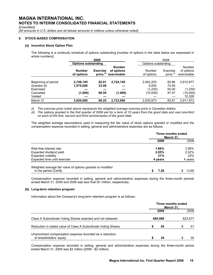*[Unaudited]* 

*[All amounts in U.S. dollars and all tabular amounts in millions unless otherwise noted]* 

### **6. STOCK-BASED COMPENSATION**

#### **[a] Incentive Stock Option Plan**

The following is a continuity schedule of options outstanding [number of options in the table below are expressed in whole numbers]:

|                     | 2009                        |                            |                                            |                      | 2008                    |                                     |
|---------------------|-----------------------------|----------------------------|--------------------------------------------|----------------------|-------------------------|-------------------------------------|
|                     |                             | <b>Options outstanding</b> |                                            |                      | Options outstanding     |                                     |
|                     | <b>Number</b><br>of options | <b>Exercise</b><br>price   | <b>Number</b><br>of options<br>exercisable | Number<br>of options | Exercise<br>price $(1)$ | Number<br>of options<br>exercisable |
| Beginning of period | 2,746,145                   | 82.01                      | 2,724,145                                  | 2,942,203            | 82.66                   | 2,912,877                           |
| Granted (ii)        | 1,075,000                   | 33.09                      |                                            | 5.000                | 74.50                   |                                     |
| Exercised           |                             |                            |                                            | (1,230)              | 55.00                   | (1,230)                             |
| Cancelled           | (1,085)                     | 68.55                      | (1,085)                                    | (10,000)             | 97.47                   | (10,000)                            |
| Vested              |                             |                            |                                            |                      |                         | 10,326                              |
| March 31            | 3,820,060                   | 68.25                      | 2.723.060                                  | 2,935,973            | 82.61                   | 2,911,973                           |

*(i) The exercise price noted above represents the weighted average exercise price in Canadian dollars.* 

*(ii) The options granted in the first quarter of 2009 are for a term of 10 years from the grant date and vest one-third on each of the first, second and third anniversaries of the grant date.* 

The weighted average assumptions used in measuring the fair value of stock options granted or modified and the compensation expense recorded in selling, general and administrative expenses are as follows:

|                                                                                     | Three months ended<br>March 31, |          |  |
|-------------------------------------------------------------------------------------|---------------------------------|----------|--|
|                                                                                     | 2009                            | 2008     |  |
| Risk-free interest rate                                                             | 1.66%                           | $3.56\%$ |  |
| Expected dividend yield                                                             | 2.05%                           | 2.02%    |  |
| <b>Expected volatility</b>                                                          | 31%                             | 22%      |  |
| Expected time until exercise                                                        | 4 years                         | 4 years  |  |
| Weighted average fair value of options granted or modified<br>in the period (Cdn\$) | 7.20                            | 13.65    |  |

Compensation expense recorded in selling, general and administrative expenses during the three-month periods ended March 31, 2009 and 2008 was less than \$1 million, respectively.

#### **[b] Long-term retention program**

Information about the Company's long-term retention program is as follows:

|                                                                                     | Three months ended<br>March 31, |         |         |    |  |  |
|-------------------------------------------------------------------------------------|---------------------------------|---------|---------|----|--|--|
|                                                                                     |                                 | 2008    |         |    |  |  |
| Class A Subordinate Voting Shares awarded and not released                          |                                 | 685,989 | 823,477 |    |  |  |
| Reduction in stated value of Class A Subordinate Voting Shares                      |                                 | 45      |         | 51 |  |  |
| Unamortized compensation expense recorded as a reduction<br>of shareholders' equity |                                 | 34      |         | 35 |  |  |

Compensation expense recorded in selling, general and administrative expenses during the three-month period ended March 31, 2009 was \$2 million [2008 - \$2 million].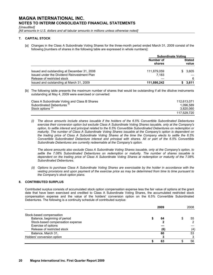*[Unaudited]* 

[All amounts in U.S. dollars and all tabular amounts in millions unless otherwise noted]

### **7. CAPITAL STOCK**

[a] Changes in the Class A Subordinate Voting Shares for the three-month period ended March 31, 2009 consist of the following [numbers of shares in the following table are expressed in whole numbers]:

|                                             | <b>Subordinate Voting</b> |  |                        |  |  |
|---------------------------------------------|---------------------------|--|------------------------|--|--|
|                                             | Number of<br>shares       |  | <b>Stated</b><br>value |  |  |
| Issued and outstanding at December 31, 2008 | 111,879,059               |  | \$3,605                |  |  |
| Issued under the Dividend Reinvestment Plan | 7.183                     |  |                        |  |  |
| Release of restricted stock                 |                           |  | 6                      |  |  |
| Issued and outstanding at March 31, 2009    | 111,886,242               |  | 3.611                  |  |  |

[b] The following table presents the maximum number of shares that would be outstanding if all the dilutive instruments outstanding at May 4, 2009 were exercised or converted:

| Class A Subordinate Voting and Class B Shares | 112.613.071 |
|-----------------------------------------------|-------------|
| Subordinated Debentures <sup>(1)</sup>        | 1.096.589   |
| Stock options <sup>(ii)</sup>                 | 3.820.060   |
|                                               | 117.529.720 |

*(i) The above amounts include shares issuable if the holders of the 6.5% Convertible Subordinated Debentures exercise their conversion option but exclude Class A Subordinate Voting Shares issuable, only at the Company's option, to settle interest and principal related to the 6.5% Convertible Subordinated Debentures on redemption or maturity. The number of Class A Subordinate Voting Shares issuable at the Company's option is dependent on the trading price of Class A Subordinate Voting Shares at the time the Company elects to settle the 6.5% Convertible Subordinated Debenture interest and principal with shares. All or part of the 6.5% Convertible Subordinate Debentures are currently redeemable at the Company's option.* 

 *The above amounts also exclude Class A Subordinate Voting Shares issuable, only at the Company's option, to settle the 7.08% Subordinated Debentures on redemption or maturity. The number of shares issuable is dependent on the trading price of Class A Subordinate Voting Shares at redemption or maturity of the 7.08% Subordinated Debentures.* 

*(ii) Options to purchase Class A Subordinate Voting Shares are exercisable by the holder in accordance with the vesting provisions and upon payment of the exercise price as may be determined from time to time pursuant to the Company's stock option plans.* 

# **8. CONTRIBUTED SURPLUS**

Contributed surplus consists of accumulated stock option compensation expense less the fair value of options at the grant date that have been exercised and credited to Class A Subordinate Voting Shares, the accumulated restricted stock compensation expense and the value of the holders' conversion option on the 6.5% Convertible Subordinated Debentures. The following is a continuity schedule of contributed surplus:

|                                  | 2009 |  |     |  |
|----------------------------------|------|--|-----|--|
| Stock-based compensation         |      |  |     |  |
| Balance, beginning of period     | 64   |  | 55  |  |
| Stock-based compensation expense |      |  |     |  |
| Exercise of options              |      |  |     |  |
| Release of restricted stock      | (6)  |  | (4) |  |
| Balance, March 31,               | 60   |  | 53  |  |
| Holders' conversion option       |      |  |     |  |
|                                  | 63   |  | 56  |  |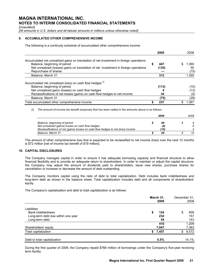*[Unaudited]* 

[All amounts in U.S. dollars and all tabular amounts in millions unless otherwise noted]

# **9. ACCUMULATED OTHER COMPREHENSIVE INCOME**

The following is a continuity schedule of accumulated other comprehensive income:

|                                                                                         |   | 2009  |    | 2008  |
|-----------------------------------------------------------------------------------------|---|-------|----|-------|
| Accumulated net unrealized gains on translation of net investment in foreign operations |   |       |    |       |
| Balance, beginning of period                                                            | S | 447   | S. | 1.360 |
| Net unrealized (losses) gains on translation of net investment in foreign operations    |   | (135) |    | 50    |
| Repurchase of shares                                                                    |   |       |    | (15)  |
| Balance, March 31                                                                       |   | 312   |    | 1,395 |
| Accumulated net unrealized (loss) on cash flow hedges (i)                               |   |       |    |       |
| Balance, beginning of period                                                            |   | (113) |    | (10)  |
| Net unrealized gains (losses) on cash flow hedges                                       |   |       |    | (13)  |
| Reclassifications of net losses (gains) on cash flow hedges to net income               |   | 34    |    | (5)   |
| Balance, March 31                                                                       |   | (75)  |    | (28)  |
| Total accumulated other comprehensive income                                            | S | 237   |    | 1.367 |

*(i) The amount of income tax benefit (expense) that has been netted in the amounts above is as follows:* 

|                                                                                  | 2009 | 2008 |  |
|----------------------------------------------------------------------------------|------|------|--|
| Balance, beginning of period                                                     | 48   |      |  |
| Net unrealized (gains) losses on cash flow hedges                                | (4)  | 6    |  |
| Reclassifications of net (gains) losses on cash flow hedges to net (loss) income | (15) |      |  |
| Balance, March 31                                                                | 29   | 12   |  |

The amount of other comprehensive loss that is expected to be reclassified to net income (loss) over the next 12 months is \$72 million [net of income tax benefit of \$19 million].

# **10. CAPITAL DISCLOSURES**

The Company manages capital in order to ensure it has adequate borrowing capacity and financial structure to allow financial flexibility and to provide an adequate return to shareholders. In order to maintain or adjust the capital structure, the Company may adjust the amount of dividends paid to shareholders, issue new shares, purchase shares for cancellation or increase or decrease the amount of debt outstanding.

The Company monitors capital using the ratio of debt to total capitalization. Debt includes bank indebtedness and long-term debt as shown in the balance sheet. Total capitalization includes debt and all components of shareholders' equity.

The Company's capitalization and debt to total capitalization is as follows:

|                                    | March 31,<br>2009 | December 31,<br>2008 |
|------------------------------------|-------------------|----------------------|
| Liabilities                        |                   |                      |
| Bank indebtedness                  | 124<br>\$         | 909<br>\$            |
| Long-term debt due within one year | 232               | 157                  |
| Long-term debt                     | 54                | 143                  |
|                                    | 410               | 1,209                |
| Shareholders' equity               | 7,047             | 7,363                |
| Total capitalization               | 7,457<br>\$       | 8,572<br>\$          |
| Debt to total capitalization       | 5.5%              | 14.1%                |

During the first quarter of 2009, the Company repaid \$768 million of borrowings under the Company's five-year revolving term facility.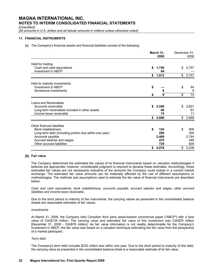*[Unaudited]* 

[All amounts in U.S. dollars and all tabular amounts in millions unless otherwise noted]

### **11. FINANCIAL INSTRUMENTS**

[a] The Company's financial assets and financial liabilities consist of the following:

|                                                        | March 31,<br>2009 | December 31,<br>2008  |  |
|--------------------------------------------------------|-------------------|-----------------------|--|
| Held for trading                                       |                   |                       |  |
| Cash and cash equivalents<br>Investment in ABCP        | \$<br>1,748<br>64 | \$<br>2,757           |  |
|                                                        | \$<br>1,812       | \$<br>2,757           |  |
| Held to maturity investments                           |                   |                       |  |
| Investment in ABCP                                     | \$                | \$<br>64              |  |
| Severance investments                                  | 9                 | 9                     |  |
|                                                        | \$<br>9           | \$<br>$\overline{73}$ |  |
| Loans and Receivables                                  |                   |                       |  |
| Accounts receivable                                    | \$<br>2,546       | \$<br>2,821           |  |
| Long-term receivables included in other assets         | 66                | 67                    |  |
| Income taxes receivable                                | 74                | 11                    |  |
|                                                        | \$<br>2,686       | \$<br>2,899           |  |
| Other financial liabilities                            |                   |                       |  |
| Bank indebtedness                                      | \$<br>124         | \$<br>909             |  |
| Long-term debt (including portion due within one year) | 286               | 300                   |  |
| Accounts payable                                       | 2,469             | 2,744                 |  |
| Accrued salaries and wages                             | 470               | 448                   |  |
| Other accrued liabilities                              | 729               | 835                   |  |
|                                                        | \$<br>4,078       | \$<br>5,236           |  |

## **[b] Fair value**

The Company determined the estimated fair values of its financial instruments based on valuation methodologies it believes are appropriate; however, considerable judgment is required to develop these estimates. Accordingly, these estimated fair values are not necessarily indicative of the amounts the Company could realize in a current market exchange. The estimated fair value amounts can be materially affected by the use of different assumptions or methodologies. The methods and assumptions used to estimate the fair value of financial instruments are described below:

*Cash and cash equivalents, bank indebtedness, accounts payable, accrued salaries and wages, other accrued liabilities and income taxes receivable.* 

Due to the short period to maturity of the instruments, the carrying values as presented in the consolidated balance sheets are reasonable estimates of fair values.

#### *Investments*

At March 31, 2009, the Company held Canadian third party asset-backed commercial paper ["ABCP"] with a face value of Cdn\$134 million. The carrying value and estimated fair value of this investment was Cdn\$79 million [December 31, 2008 - Cdn\$79 million]. As fair value information is not readily determinable for the Company's investment in ABCP, the fair value was based on a valuation technique estimating the fair value from the perspective of a market participant.

#### *Term debt*

The Company's term debt includes \$232 million due within one year. Due to the short period to maturity of this debt, the carrying value as presented in the consolidated balance sheet is a reasonable estimate of its fair value.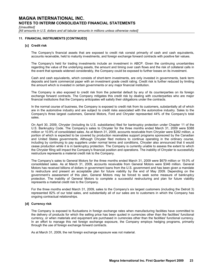*[Unaudited]* 

[All amounts in U.S. dollars and all tabular amounts in millions unless otherwise noted]

### **11. FINANCIAL INSTRUMENTS [CONTINUED]**

#### **[c] Credit risk**

The Company's financial assets that are exposed to credit risk consist primarily of cash and cash equivalents, accounts receivable, held to maturity investments, and foreign exchange forward contracts with positive fair values.

The Company's held for trading investments include an investment in ABCP. Given the continuing uncertainties regarding the value of the underlying assets, the amount and timing over cash flows and the risk of collateral calls in the event that spreads widened considerably, the Company could be exposed to further losses on its investment.

Cash and cash equivalents, which consists of short-term investments, are only invested in governments, bank term deposits and bank commercial paper with an investment grade credit rating. Credit risk is further reduced by limiting the amount which is invested in certain governments or any major financial institution.

The Company is also exposed to credit risk from the potential default by any of its counterparties on its foreign exchange forward contracts. The Company mitigates this credit risk by dealing with counterparties who are major financial institutions that the Company anticipates will satisfy their obligations under the contracts.

In the normal course of business, the Company is exposed to credit risk from its customers, substantially all of which are in the automotive industry and are subject to credit risks associated with the automotive industry. Sales to the Company's three largest customers, General Motors, Ford and Chrysler represented 44% of the Company's total sales.

On April 30, 2009, Chrysler (including its U.S. subsidiaries) filed for bankruptcy protection under Chapter 11 of the U.S. Bankruptcy Code. The Company's sales to Chrysler for the three months ended March 31, 2009 were \$388 million or 10.9% of consolidated sales. As at March 31, 2009, accounts receivable from Chrysler were \$282 million, a portion of which is expected to be covered by production receivables support programs sponsored by the Canadian and United States governments. Although Chrysler filed motions to continue operating in the ordinary course, including by continuing to pay suppliers under normal terms and conditions, Chrysler also announced that it would cease production while it is in bankruptcy protection. The Company is currently unable to assess the extent to which the Chrysler filing will impact the Company's financial position and operations. The inability of Chrysler to successfully restructure represents a material credit risk to the Company.

The Company's sales to General Motors for the three months ended March 31, 2009 were \$679 million or 19.0% of consolidated sales. As at March 31, 2009, accounts receivable from General Motors were \$346 million. General Motors has received billions of dollars in government loans from the U.S. government and has been given a mandate to restructure and present an acceptable plan for future viability by the end of May 2009. Depending on the government's assessment of this plan, General Motors may be forced to seek some measure of bankruptcy protection. The inability of General Motors to complete a successful restructuring and plan for future viability represents a material credit risk to the Company.

For the three months ended March 31, 2009, sales to the Company's six largest customers (including the Detroit 3) represented 82% of our total sales, and substantially all of our sales are to customers in which the Company has ongoing contractual relationships.

#### **[d] Currency risk**

The Company is exposed to fluctuations in foreign exchange rates when manufacturing facilities have committed to the delivery of products for which the selling price has been quoted in currencies other than the facilities' functional currency, or when materials and equipment are purchased in currencies other than the facilities' functional currency. In an effort to manage this net foreign exchange exposure, the Company employs hedging programs, primarily through the use of foreign exchange forward contracts.

As at March 31, 2009, the net foreign exchange exposure was not material.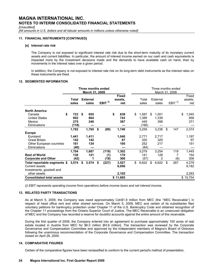*[Unaudited]* 

[All amounts in U.S. dollars and all tabular amounts in millions unless otherwise noted]

### **11. FINANCIAL INSTRUMENTS [CONTINUED]**

#### **[e] Interest rate risk**

The Company is not exposed to significant interest rate risk due to the short-term maturity of its monetary current assets and current liabilities. In particular, the amount of interest income earned on our cash and cash equivalents is impacted more by the investment decisions made and the demands to have available cash on hand, than by movements in the interest rates over a given period.

In addition, the Company is not exposed to interest rate risk on its long-term debt instruments as the interest rates on these instruments are fixed.

#### **12. SEGMENTED INFORMATION**

|                                                                                    |                             | Three months ended<br>March 31, 2009 |                      |                                | Three months ended<br>March 31, 2008 |    |                       |    |                     |                           |
|------------------------------------------------------------------------------------|-----------------------------|--------------------------------------|----------------------|--------------------------------|--------------------------------------|----|-----------------------|----|---------------------|---------------------------|
|                                                                                    | Total<br>sales              | <b>External</b><br>sales             | EBIT $^{(i)}$        | <b>Fixed</b><br>assets,<br>net | Total<br>sales                       |    | External<br>sales     |    | EBIT <sup>(i)</sup> | Fixed<br>assets.<br>net   |
| <b>North America</b><br>Canada<br><b>United States</b><br>Mexico                   | \$<br>723<br>902<br>275     | \$<br>655<br>864<br>246              |                      | \$<br>639<br>743<br>367        | \$<br>1,587<br>1,389<br>449          | \$ | 1,501<br>1,339<br>398 |    |                     | \$<br>1,045<br>958<br>371 |
| <b>Eliminations</b><br><b>Europe</b>                                               | (118)<br>1,782              | 1,765                                | \$<br>(89)           | 1,749                          | (166)<br>3,259                       |    | 3,238                 | \$ | 147                 | 2,374                     |
| Euroland<br><b>Great Britain</b><br>Other European countries<br>Eliminations       | 1,441<br>142<br>161<br>(40) | 1,411<br>142<br>134                  |                      | 1,040<br>67<br>195             | 2,771<br>320<br>252<br>(64)          |    | 2,717<br>320<br>217   |    |                     | 1,197<br>97<br>151        |
| <b>Rest of World</b><br><b>Corporate and Other</b>                                 | 1,704<br>130<br>(42)        | 1,687<br>121<br>1                    | (119)<br>(1)<br>(18) | 1,302<br>170<br>306            | 3,279<br>141<br>(57)                 |    | 3,254<br>128<br>2     |    | 119<br>7<br>(6)     | 1,445<br>154<br>306       |
| Total reportable segments \$<br><b>Current assets</b><br>Investments, goodwill and | 3,574                       | \$<br>3,574                          | \$<br>(227)          | 3,527<br>6,056                 | \$<br>6,622                          | \$ | 6,622                 | \$ | 267                 | 4,279<br>9,182            |
| other assets<br><b>Consolidated total assets</b>                                   |                             |                                      |                      | 2,102<br>\$11,685              |                                      |    |                       |    |                     | 2,293<br>\$15,754         |

*(i) EBIT represents operating income from operations before income taxes and net interest income.* 

#### **13. RELATED PARTY TRANSACTIONS**

As at March 5, 2009, the Company was owed approximately Cdn\$1.9 million from MEC (the ''MEC Receivable'') in respect of head office rent and other shared services. On March 5, 2009, MEC and certain of its subsidiaries filed voluntary petitions for bankruptcy protection under Chapter 11 of the U.S. Bankruptcy Code and obtained recognition of the Chapter 11 proceedings from the Ontario Superior Court of Justice. The MEC Receivable is an unsecured obligation of MEC and the Company has recorded a reserve for doubtful accounts against the entire amount of this receivable.

During the first quarter of 2009, the Company entered into an agreement to purchase approximately 100 acres of real estate located in Austria from MEC for \$6.0 million [€4.6 million]. The transaction was reviewed by the Corporate Governance and Compensation Committee and approved by the independent members of Magna's Board of Directors following the unanimous recommendation of the Corporate Governance and Compensation Committee. The transaction closed on April 28, 2009.

#### **14. COMPARATIVE FIGURES**

Certain of the comparative figures have been reclassified to conform to the current period's method of presentation.